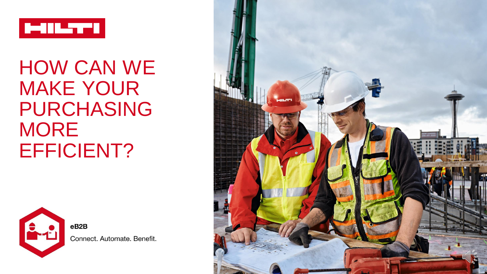

# HOW CAN WE MAKE YOUR PURCHASING **MORE** EFFICIENT?



eB<sub>2</sub>B Connect. Automate. Benefit.

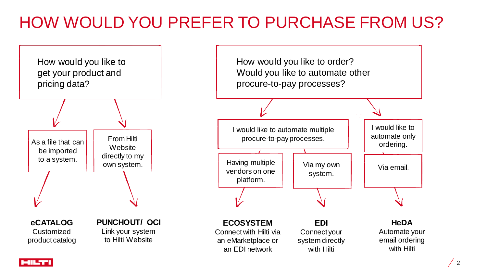## HOW WOULD YOU PREFER TO PURCHASE FROM US?



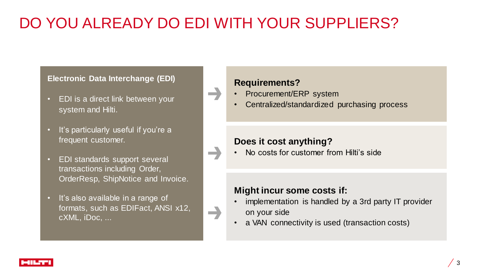## DO YOU ALREADY DO EDI WITH YOUR SUPPLIERS?

 $\rightarrow$ 

æ,

 $\rightarrow$ 

#### **Electronic Data Interchange (EDI)**

- EDI is a direct link between your system and Hilti.
- It's particularly useful if you're a frequent customer.
- EDI standards support several transactions including Order, OrderResp, ShipNotice and Invoice.
- It's also available in a range of formats, such as EDIFact, ANSI x12, cXML, iDoc, ...

#### **Requirements?**

- Procurement/ERP system
- Centralized/standardized purchasing process

#### **Does it cost anything?**

• No costs for customer from Hilti's side

#### **Might incur some costs if:**

- implementation is handled by a 3rd party IT provider on your side
- a VAN connectivity is used (transaction costs)

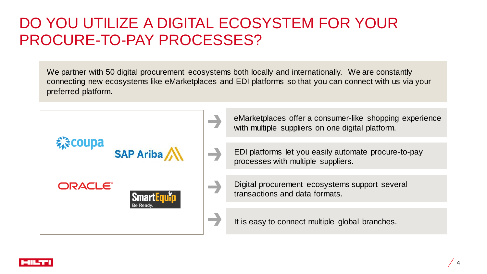### DO YOU UTILIZE A DIGITAL ECOSYSTEM FOR YOUR PROCURE-TO-PAY PROCESSES?

We partner with 50 digital procurement ecosystems both locally and internationally. We are constantly connecting new ecosystems like eMarketplaces and EDI platforms so that you can connect with us via your preferred platform**.**



eMarketplaces offer a consumer-like shopping experience with multiple suppliers on one digital platform.

- EDI platforms let you easily automate procure-to-pay processes with multiple suppliers.
- Digital procurement ecosystems support several transactions and data formats.

It is easy to connect multiple global branches.

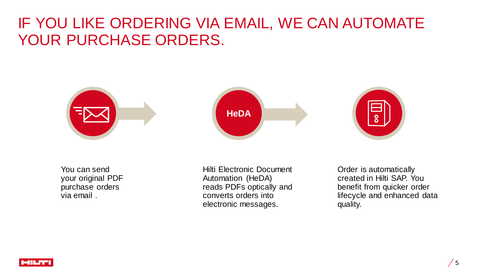### IF YOU LIKE ORDERING VIA EMAIL, WE CAN AUTOMATE YOUR PURCHASE ORDERS.



You can send your original PDF purchase orders via email .

Hilti Electronic Document Automation (HeDA) reads PDFs optically and converts orders into electronic messages.

Order is automatically created in Hilti SAP. You benefit from quicker order lifecycle and enhanced data quality.

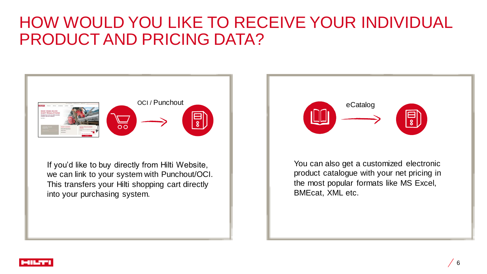### HOW WOULD YOU LIKE TO RECEIVE YOUR INDIVIDUAL PRODUCT AND PRICING DATA?



If you'd like to buy directly from Hilti Website, we can link to your system with Punchout/OCI. This transfers your Hilti shopping cart directly into your purchasing system.



You can also get a customized electronic product catalogue with your net pricing in the most popular formats like MS Excel, BMEcat, XML etc.